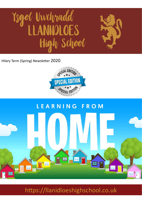# Ysgol Uwchradd High School

Hilary Term (Spring) Newsletter 2020



# LEARNING FROM THE HOT MARITER S .<br>Wat **HE** · [W  $\mathbf{F}$

https://llanidloeshighschool.co.uk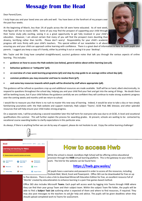# **Message from the Head**

Dear Parent/Carer,

I truly hope you and your loved ones are safe and well. You have been at the forefront of my prayers over the past four weeks.

At the beginning of March, less than 1% of pupils across the UK were home educated. As of next week, that figure will rise to nearly 100%. Some of you may find the prospect of supporting your child through their home study jolly exciting, seeing it as a great opportunity to get fully involved in your child's education. However, I am almost certain that many of you will find the prospect more daunting than dreamy, terrifying rather than terrific. Please don't worry! Responsibility for your child's academic progress still rests firmly with your child's teachers. This special edition of our newsletter is all about



ensuring you and your child can approach online learning with confidence. There is a great deal of information in here for both pupils and parents. I suggest you keep a copy of it handy, either by printing it out or saving it to your 'desktop'.

Mrs Taylor and Mr Craig have compiled straightforward, succinct guidance notes that talk you through the various aspects of online learning. This includes:

- **guidance on how to access the Hwb website (see below), general advice about online learning (see p3);**
- **behaviour guidance or 'netiquette' (p4);**
- **an overview of a two week learning programme (p5) and step-by-step guide to an average online school day (p6);**
- **common problems you may encounter and how to resolve them (p7);**
- **and some key resources towards which pupils will be directed by staff where appropriate (p8).**

This guidance will be refined as questions crop up and additional resources are made available. Staff will be on hand, albeit electronically, to respond to questions throughout the school day, helping you and your child find your feet and get into the swing of things. No doubt there will be teething issues, but if your child follows the guidance carefully we are confident they will continue to make strong academic progress over the coming weeks and months until we return to school.

I would like to reassure you that there is no rush to master this new way of learning. Indeed, it would be wise to take a day or two simply familiarising yourselves with: the Hwb website and support materials; Hwb subject 'Teams'; GCSE Pod; BBC bitesize; and other splendid resources that will help ensure your child makes strong progress.

On a separate note, I will be producing a second newsletter later this half term for everyone who was due to sit GCSE, A-level and vocational qualifications this summer. This will further explain the process for awarding grades. At present, schools are waiting to be contacted by vocational course awarding bodies to clarify expectations in this particular area.

As always, if there is anything further we can do by way of support, please do not hesitate to ask. Enjoy the online learning challenge!



| <b>Hwb</b>                                                                                                   |                                                     |  | <b>A</b> Service announcement              |  | <b>III</b> Menu<br>Log in<br>Sign up |  |  |  |  |
|--------------------------------------------------------------------------------------------------------------|-----------------------------------------------------|--|--------------------------------------------|--|--------------------------------------|--|--|--|--|
| <b>Learning and teaching for Wales</b><br>The Curriculum for Wales and free educational tools and materials. |                                                     |  |                                            |  |                                      |  |  |  |  |
| $\rightarrow$                                                                                                | Distance learning support for teachers and parents. |  |                                            |  |                                      |  |  |  |  |
|                                                                                                              | <b>Curriculum for</b><br><b>Wales</b>               |  | <b>Curriculum</b> for<br><b>Wales 2008</b> |  | Professional<br>development          |  |  |  |  |
|                                                                                                              | <b>Resources</b>                                    |  | <b>News</b>                                |  | <b>Events</b>                        |  |  |  |  |
|                                                                                                              | <b>Online safety</b>                                |  | Zones                                      |  | <b>Support Centre</b>                |  |  |  |  |

# How to access Hwb

While the school is closed, Llanidloes High School will be offering online educational provision through the **HWB** virtual learning platform. This is the gateway to your child's work. The link for the website can be found here:

#### **<https://hwb.gov.wales/>**

All pupils have a username and password in order to access all the resources, including Outlook Mail, Word, Excel and Powerpoint. Office 365 can be downloaded for free on up

to five devices. There is also a link to download Minecraft Education Edition for free, an excellent resource full of 'Worlds' created by educationalists to enhance learning in a pain free games-based method.

may also post messages to the teachers to ask for help and advice. The pupils will be given deadlines when they Office 365 also includes Microsoft **Teams**. Each pupil will access work by logging into Teams through HWB where they can find their year group Team and their subject team. Within the subject Team file folder, the pupils will be able to find a **Subject Task List** outlining what is expected of them and where to find resources, if required. They should upload completed work to Teams for assessment.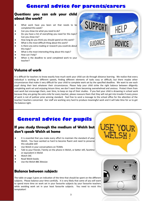## **General advice for parents/carers**

#### **Questions you can ask your child about the work?**

- What work have you been set that needs to be completed this week?
- Can you show me what you need to do?
- Do you have a list of everything you need for this topic? Can you show me?
- ◆ How long do you think you should spend on this work?
- What is the most difficult thing about this work?
- Is there any extra reading or research you could do about this topic?
- What is the most interesting thing about this topic?
- ◆ How can I help?
- When is the deadline to send completed work to your teacher?



#### **Volume of work**

It is difficult for teachers to know exactly how much work your child can do through distance learning. We realize that every individual is working at different speeds, finding different elements of tasks easy or difficult, but there maybe other circumstances that make it very difficult for your child to complete work set by the specified deadline. We want to see each pupil doing their best whatever their circumstances. Please help your child strike the right balance between diligently completing work set and enjoying leisure time; we don't want them becoming overwhelmed and anxious. Protect them from over-work but encourage them, over time, to keep on top of their studies. If you feel your child is drowning in school work because they are going the extra mile for every teacher, please reassure them that they will not get into trouble if every piece of work is not of pulitzer prize winning standard. Feel free to send a message to the school office for the attention of the teacher/ teachers concerned. Our staff are working very hard to produce meaningful work and it will take time for us to get the balance right.

### **General advice for pupils**

#### **If you study through the medium of Welsh but don't speak Welsh at home**

- It is essential that you make every effort to maintain the standard of your Welsh. You have worked so hard to become fluent and need to preserve this valuable skill
- Use Welsh in your conversations on TEAMs
- Talk to your friends / family on the phone in Welsh, or better still, facetime or equivalent in Welsh
- Watch S4C
- ◆ Read Welsh books
- ◆ Use the Welsh BBC Bitesize

#### **Balance between subjects**

The table on page 3 gives an indication of the time that should be spent on the different subjects. Please balance your time carefully. It is very likely that some of you will want to spend more time on work set in your favourite subjects by your favourite teachers while avoiding work set in your least favourite subjects. You need to resist this temptation!



USE YOUR

AEL SHI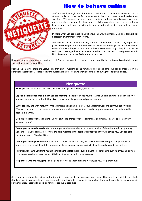

#### **How to behave online**

Staff at Llanidloes High School are very proud of your standards of behaviour. As a student body, you give us far more cause to hand out rewards and praise than sanctions. We are used to your common courtesy, kindness towards more vulnerable pupils and sincere support for those in need. Within our classrooms, you are quick to help your peers, listen respectfully to others during discussions and ask pertinent questions.

In short, when you are in school you behave in a way that makes Llanidloes High School a pleasant environment for everyone.

Your conduct online shouldn't be any different. The internet can be a very impersonal place and some pupils are tempted to write deeply unkind things because they are not face-to-face with the person with whom they are communicating. They do not see the real upset these typed words can have on others and the usual consequences of this kind of communication can feel distant and less real.

However, what you say to people online is real. You are speaking to real people. Moreover, the internet records and retains what you say for the rest of your life.

Bearing this in mind, there are useful rules that ensure working online remains pleasant and safe. We call appropriate online behaviour 'Nettiquette'. Please follow the guidelines below to ensure everyone gets along during the lockdown period.

#### **Netiquette**

**Be Respectful** - Classmates and teachers are real people with feelings just like you.

**Caps and exclamation marks mean you are shouting** - People can't see your face when you are posting. They don't know if you are really annoyed or just joking. Avoid using strong language or vulgar expressions.

**Write sensibly and with maturity** - Use accurate spelling and grammar. Your academic work and communication within 'Teams' is not a text to your friends. You are in a school environment and need to approach communication in suitably academic manner.

**Do not post inappropriate content** - Do not post rude or inappropriate comments or pictures. This will be treated very seriously by staff.

**Do not post personal material** - Do not post personal content about you or anyone else. If there is something upsetting you, either let your parent/carer know or post a message to the teacher privately and they will advise you. You can also ring the school on 01686 412289.

**Do not post when you do not need to** - Some people get carried away and post too many messages, emojis or images when there is no need. Resist this temptation. Keep communication succinct. Keep focused on academic matters.

**Report anyone who you think might be misusing the class chat or cyberbullying** - Report online bullying through a private post to your teacher or Year Leader. This kind of behaviour will not be tolerated.

**Help others who are struggling** - Some people are not as adept at online working as you. Help them out!

Given your exceptional behaviour and attitude in school, we do not envisage any issues. However, if a pupil lets their high standards slip by repeatedly breaking these rules and failing to respond to admonition from staff, parents will be contacted. Further consequences will be applied for more serious misconduct.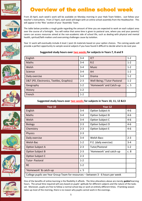

















# Overview of the online school week

From 20 April, each week's work will be available on Monday morning in your Hwb Team folders. Just follow your teacher's instructions. From 27 April, each week will begin with an online school assembly from the Headteacher. This will appear in the 'files' section of your 'Assembly' Team.

The table below provides a rough guide regarding the amount of time you are expected to work on each subject area over the course of a fortnight. You will notice that some time is given to pastoral care, where you and your parents/ carers can access resources aimed at the non-academic side of school life, such as dealing with physical and mental health, spiritual/faith matters and overcoming challenges cause by isolation.

Year 11 work will eventually include A level / post-16 materials based on your option choices. The coming weeks will provide a perfect opportunity to sample several subjects if you have found it difficult to decide what to do next year.

**Suggested study hours over two weeks for subjects in Years 7, 8 and 9**

| English                                   | $3 - 4$ | <b>ICT</b>                  | $1 - 2$ |
|-------------------------------------------|---------|-----------------------------|---------|
| Maths                                     | $3 - 4$ | R.E                         | $1 - 2$ |
| Welsh                                     | $3 - 4$ | <b>Music</b>                | $1 - 2$ |
| Science                                   | $3 - 4$ | Art                         | $1 - 2$ |
| Daily exercise                            | $3 - 4$ | <b>Drama</b>                | $1 - 2$ |
| D&T (PD, Electronics, Textiles, Graphics) | $2 - 3$ | Well-Being / Tutor-Pastoral | $1 - 2$ |
| Geography                                 | $1 - 2$ | 'Homework' and Catch-up     | c.5     |
| History                                   | $1 - 2$ |                             |         |
| French                                    | $1 - 2$ |                             |         |

#### **Suggested study hours over two weeks for subjects in Years 10, 11, 12 &13**

| Year 10                                                                         |         | Year 12                 |         |  |  |
|---------------------------------------------------------------------------------|---------|-------------------------|---------|--|--|
| English                                                                         | $3 - 4$ | Option Subject A        | $4 - 6$ |  |  |
| Maths                                                                           | $3 - 4$ | Option Subject B        | $4 - 6$ |  |  |
| Welsh                                                                           | $3 - 4$ | Option Subject C        | $4 - 6$ |  |  |
| <b>Biology</b>                                                                  | $2 - 3$ | Option Subject D        | $4 - 6$ |  |  |
| Chemistry                                                                       | $2 - 3$ | <b>Option Subject E</b> | $4 - 6$ |  |  |
| <b>Physics</b>                                                                  | $2 - 3$ |                         |         |  |  |
| Daily exercise                                                                  | $3 - 4$ | <b>Welsh Bacc</b>       | $2 - 3$ |  |  |
| Welsh Bac                                                                       | $1 - 2$ | P.E. (daily exercise)   | $3 - 4$ |  |  |
| <b>Option Subject A</b>                                                         | $2 - 3$ | Tutor/Pastoral          | $1 - 2$ |  |  |
| <b>Option Subject B</b>                                                         | $2 - 3$ | 'Homework' and catch-up | c.8     |  |  |
| <b>Option Subject C</b>                                                         | $2 - 3$ |                         |         |  |  |
| Tutor- Pastoral                                                                 | $1 - 2$ |                         |         |  |  |
| <b>RE</b>                                                                       | $1 - 2$ |                         |         |  |  |
| 'Homework' & catch-up                                                           | c.5     |                         |         |  |  |
| College pupils see Year Group Team for resources - between 3 - 6 hours per week |         |                         |         |  |  |

One of the benefits of online learning is the flexibility it affords. The time allocations above are merely *guided* learning hours. The actual time required will vary based on pupils' aptitude for different subjects and the nature of the tasks set. Moreover, pupils are free to follow a normal school day or work at entirely different times. If lambing season takes up most of the morning, there is no reason why pupils cannot work in the evenings.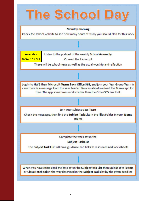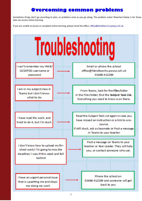#### **Overcoming common problems**

Sometimes things don't go according to plan, or problems arise as you go along. The problem solver flowchart below is for those who can access online learning.

If you are unable to access or complete online learning, please email the office: office@llanidloes-hs.powys.sch.uk

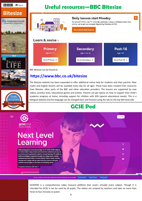

**DAVID**<br>**ATTENBOROUGH** 

Stud Scripture **BibleGateway** 

# **Useful resources—BBC Bitesize**



BBC Bitesize can be found at:

#### **https://www.bbc.co.uk/bitesize**

The Bitesize website has been expanded to offer additional online help for students and their parents. New maths and English lessons will be available every day for all ages. These have been created from resources from Bitesize, other parts of the BBC and other education providers. The lessons are supported by new videos, practice tests, educational games and articles. Parents can get advice on how to support their child's academic progress at home, including support for children with SEN (special educational needs). This is a bilingual website and the language can be changed back and forward using the tab on the top left hand side.

# **GCSE Pod**

LOGINS

൫

o

**gcsepod** 

# **Next Level** Learning

With pedagogical content knowledge for 27 GCSE/ IGCSE subjects, GCSEPod make it easy to learn and revise from wherever you are, on any device and is particularly suited to remote learning. The ability to build knowledge in sequence through our unique pods, enables retention and recall when it is most needed. Teach, assess, monitor, manage and engage with an award-winning resource that puts evidence and progress at the heart of everything we do. For parent resources click here >>

We use cookies to ensure that we give you the best experience on our website Accept Cookies Reject Cookies Phivacy policy

GCSEPOD is a comprehensive video resource platform that covers virtually every subject. Though it is intended for GCSE it can be used by all pupils. The videos are scripted by teachers and take no more than three to four minutes to watch.